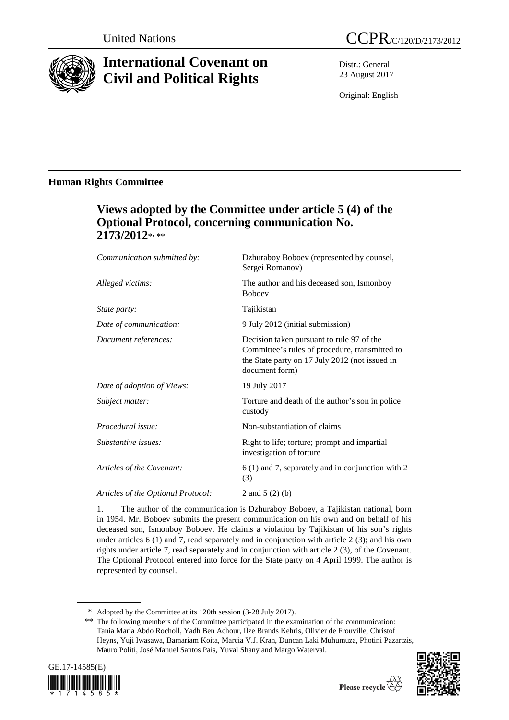

# **International Covenant on Civil and Political Rights**

Distr.: General 23 August 2017

Original: English

## **Human Rights Committee**

# **Views adopted by the Committee under article 5 (4) of the Optional Protocol, concerning communication No. 2173/2012**\* , \*\*

| Communication submitted by:        | Dzhuraboy Boboev (represented by counsel,<br>Sergei Romanov)                                                                                                    |
|------------------------------------|-----------------------------------------------------------------------------------------------------------------------------------------------------------------|
| Alleged victims:                   | The author and his deceased son, Ismonboy<br><b>Boboev</b>                                                                                                      |
| State party:                       | Tajikistan                                                                                                                                                      |
| Date of communication:             | 9 July 2012 (initial submission)                                                                                                                                |
| Document references:               | Decision taken pursuant to rule 97 of the<br>Committee's rules of procedure, transmitted to<br>the State party on 17 July 2012 (not issued in<br>document form) |
| Date of adoption of Views:         | 19 July 2017                                                                                                                                                    |
| Subject matter:                    | Torture and death of the author's son in police<br>custody                                                                                                      |
| Procedural issue:                  | Non-substantiation of claims                                                                                                                                    |
| Substantive issues:                | Right to life; torture; prompt and impartial<br>investigation of torture                                                                                        |
| Articles of the Covenant:          | 6 (1) and 7, separately and in conjunction with 2<br>(3)                                                                                                        |
| Articles of the Optional Protocol: | 2 and $5(2)(b)$                                                                                                                                                 |
|                                    |                                                                                                                                                                 |

1. The author of the communication is Dzhuraboy Boboev, a Tajikistan national, born in 1954. Mr. Boboev submits the present communication on his own and on behalf of his deceased son, Ismonboy Boboev. He claims a violation by Tajikistan of his son's rights under articles 6 (1) and 7, read separately and in conjunction with article 2 (3); and his own rights under article 7, read separately and in conjunction with article 2 (3), of the Covenant. The Optional Protocol entered into force for the State party on 4 April 1999. The author is represented by counsel.

<sup>\*\*</sup> The following members of the Committee participated in the examination of the communication: Tania María Abdo Rocholl, Yadh Ben Achour, Ilze Brands Kehris, Olivier de Frouville, Christof Heyns, Yuji Iwasawa, Bamariam Koita, Marcia V.J. Kran, Duncan Laki Muhumuza, Photini Pazartzis, Mauro Politi, José Manuel Santos Pais, Yuval Shany and Margo Waterval.





<sup>\*</sup> Adopted by the Committee at its 120th session (3-28 July 2017).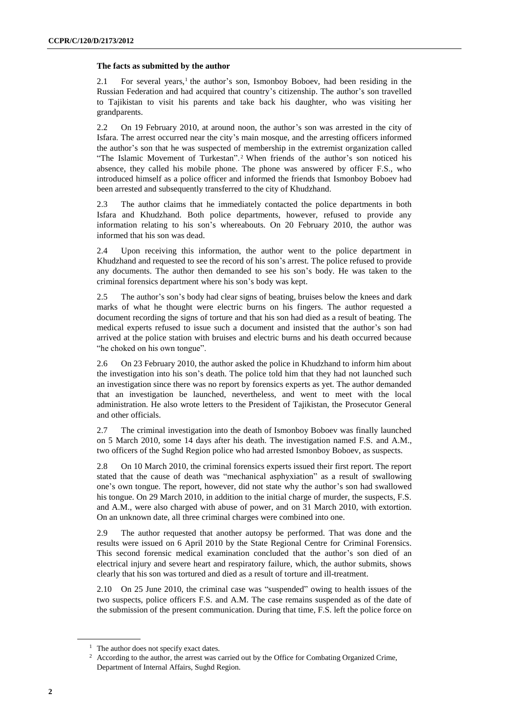#### **The facts as submitted by the author**

2.1 For several years, $<sup>1</sup>$  the author's son, Ismonboy Boboev, had been residing in the</sup> Russian Federation and had acquired that country's citizenship. The author's son travelled to Tajikistan to visit his parents and take back his daughter, who was visiting her grandparents.

2.2 On 19 February 2010, at around noon, the author's son was arrested in the city of Isfara. The arrest occurred near the city's main mosque, and the arresting officers informed the author's son that he was suspected of membership in the extremist organization called "The Islamic Movement of Turkestan". <sup>2</sup> When friends of the author's son noticed his absence, they called his mobile phone. The phone was answered by officer F.S., who introduced himself as a police officer and informed the friends that Ismonboy Boboev had been arrested and subsequently transferred to the city of Khudzhand.

2.3 The author claims that he immediately contacted the police departments in both Isfara and Khudzhand. Both police departments, however, refused to provide any information relating to his son's whereabouts. On 20 February 2010, the author was informed that his son was dead.

2.4 Upon receiving this information, the author went to the police department in Khudzhand and requested to see the record of his son's arrest. The police refused to provide any documents. The author then demanded to see his son's body. He was taken to the criminal forensics department where his son's body was kept.

2.5 The author's son's body had clear signs of beating, bruises below the knees and dark marks of what he thought were electric burns on his fingers. The author requested a document recording the signs of torture and that his son had died as a result of beating. The medical experts refused to issue such a document and insisted that the author's son had arrived at the police station with bruises and electric burns and his death occurred because "he choked on his own tongue".

2.6 On 23 February 2010, the author asked the police in Khudzhand to inform him about the investigation into his son's death. The police told him that they had not launched such an investigation since there was no report by forensics experts as yet. The author demanded that an investigation be launched, nevertheless, and went to meet with the local administration. He also wrote letters to the President of Tajikistan, the Prosecutor General and other officials.

2.7 The criminal investigation into the death of Ismonboy Boboev was finally launched on 5 March 2010, some 14 days after his death. The investigation named F.S. and A.M., two officers of the Sughd Region police who had arrested Ismonboy Boboev, as suspects.

2.8 On 10 March 2010, the criminal forensics experts issued their first report. The report stated that the cause of death was "mechanical asphyxiation" as a result of swallowing one's own tongue. The report, however, did not state why the author's son had swallowed his tongue. On 29 March 2010, in addition to the initial charge of murder, the suspects, F.S. and A.M., were also charged with abuse of power, and on 31 March 2010, with extortion. On an unknown date, all three criminal charges were combined into one.

2.9 The author requested that another autopsy be performed. That was done and the results were issued on 6 April 2010 by the State Regional Centre for Criminal Forensics. This second forensic medical examination concluded that the author's son died of an electrical injury and severe heart and respiratory failure, which, the author submits, shows clearly that his son was tortured and died as a result of torture and ill-treatment.

2.10 On 25 June 2010, the criminal case was "suspended" owing to health issues of the two suspects, police officers F.S. and A.M. The case remains suspended as of the date of the submission of the present communication. During that time, F.S. left the police force on

 $<sup>1</sup>$  The author does not specify exact dates.</sup>

<sup>&</sup>lt;sup>2</sup> According to the author, the arrest was carried out by the Office for Combating Organized Crime, Department of Internal Affairs, Sughd Region.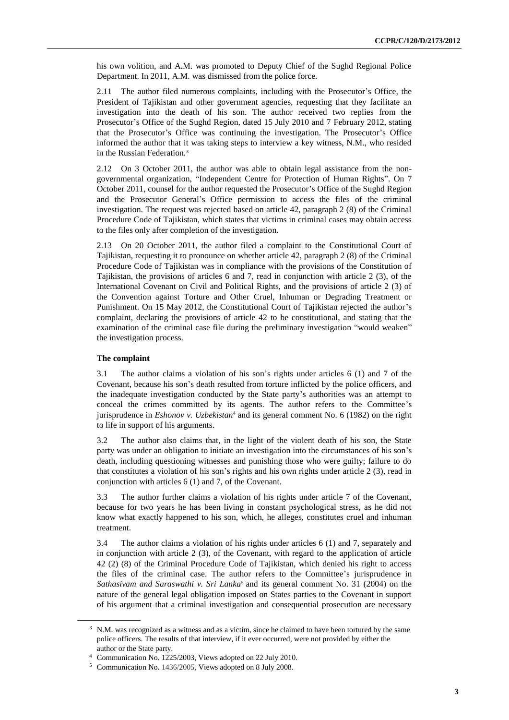his own volition, and A.M. was promoted to Deputy Chief of the Sughd Regional Police Department. In 2011, A.M. was dismissed from the police force.

2.11 The author filed numerous complaints, including with the Prosecutor's Office, the President of Tajikistan and other government agencies, requesting that they facilitate an investigation into the death of his son. The author received two replies from the Prosecutor's Office of the Sughd Region, dated 15 July 2010 and 7 February 2012, stating that the Prosecutor's Office was continuing the investigation. The Prosecutor's Office informed the author that it was taking steps to interview a key witness, N.M., who resided in the Russian Federation.<sup>3</sup>

2.12 On 3 October 2011, the author was able to obtain legal assistance from the nongovernmental organization, "Independent Centre for Protection of Human Rights". On 7 October 2011, counsel for the author requested the Prosecutor's Office of the Sughd Region and the Prosecutor General's Office permission to access the files of the criminal investigation. The request was rejected based on article 42, paragraph 2 (8) of the Criminal Procedure Code of Tajikistan, which states that victims in criminal cases may obtain access to the files only after completion of the investigation.

2.13 On 20 October 2011, the author filed a complaint to the Constitutional Court of Tajikistan, requesting it to pronounce on whether article 42, paragraph 2 (8) of the Criminal Procedure Code of Tajikistan was in compliance with the provisions of the Constitution of Tajikistan, the provisions of articles 6 and 7, read in conjunction with article 2 (3), of the International Covenant on Civil and Political Rights, and the provisions of article 2 (3) of the Convention against Torture and Other Cruel, Inhuman or Degrading Treatment or Punishment. On 15 May 2012, the Constitutional Court of Tajikistan rejected the author's complaint, declaring the provisions of article 42 to be constitutional, and stating that the examination of the criminal case file during the preliminary investigation "would weaken" the investigation process.

#### **The complaint**

3.1 The author claims a violation of his son's rights under articles 6 (1) and 7 of the Covenant, because his son's death resulted from torture inflicted by the police officers, and the inadequate investigation conducted by the State party's authorities was an attempt to conceal the crimes committed by its agents. The author refers to the Committee's jurisprudence in *Eshonov v. Uzbekistan*<sup>4</sup> and its general comment No. 6 (1982) on the right to life in support of his arguments.

3.2 The author also claims that, in the light of the violent death of his son, the State party was under an obligation to initiate an investigation into the circumstances of his son's death, including questioning witnesses and punishing those who were guilty; failure to do that constitutes a violation of his son's rights and his own rights under article 2 (3), read in conjunction with articles 6 (1) and 7, of the Covenant.

3.3 The author further claims a violation of his rights under article 7 of the Covenant, because for two years he has been living in constant psychological stress, as he did not know what exactly happened to his son, which, he alleges, constitutes cruel and inhuman treatment.

3.4 The author claims a violation of his rights under articles 6 (1) and 7, separately and in conjunction with article 2 (3), of the Covenant, with regard to the application of article 42 (2) (8) of the Criminal Procedure Code of Tajikistan, which denied his right to access the files of the criminal case. The author refers to the Committee's jurisprudence in *Sathasivam and Saraswathi v. Sri Lanka*<sup>5</sup> and its general comment No. 31 (2004) on the nature of the general legal obligation imposed on States parties to the Covenant in support of his argument that a criminal investigation and consequential prosecution are necessary

<sup>&</sup>lt;sup>3</sup> N.M. was recognized as a witness and as a victim, since he claimed to have been tortured by the same police officers. The results of that interview, if it ever occurred, were not provided by either the author or the State party.

<sup>4</sup> Communication No. 1225/2003, Views adopted on 22 July 2010.

<sup>5</sup> Communication No. 1436/2005, Views adopted on 8 July 2008.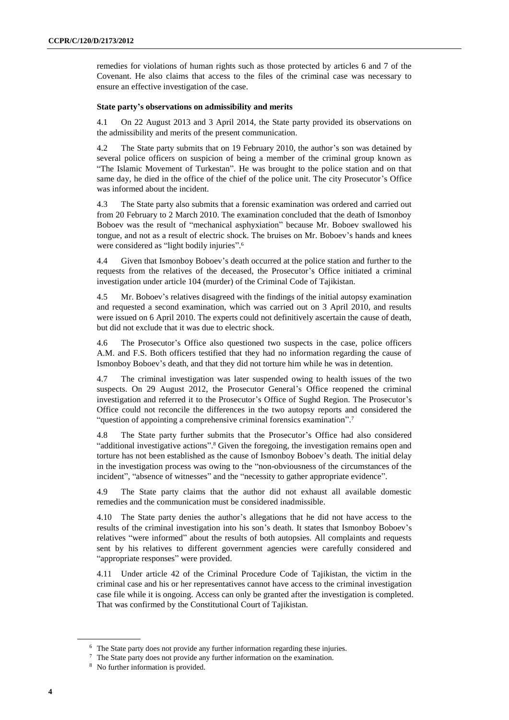remedies for violations of human rights such as those protected by articles 6 and 7 of the Covenant. He also claims that access to the files of the criminal case was necessary to ensure an effective investigation of the case.

#### **State party's observations on admissibility and merits**

4.1 On 22 August 2013 and 3 April 2014, the State party provided its observations on the admissibility and merits of the present communication.

4.2 The State party submits that on 19 February 2010, the author's son was detained by several police officers on suspicion of being a member of the criminal group known as "The Islamic Movement of Turkestan". He was brought to the police station and on that same day, he died in the office of the chief of the police unit. The city Prosecutor's Office was informed about the incident.

4.3 The State party also submits that a forensic examination was ordered and carried out from 20 February to 2 March 2010. The examination concluded that the death of Ismonboy Boboev was the result of "mechanical asphyxiation" because Mr. Boboev swallowed his tongue, and not as a result of electric shock. The bruises on Mr. Boboev's hands and knees were considered as "light bodily injuries".<sup>6</sup>

4.4 Given that Ismonboy Boboev's death occurred at the police station and further to the requests from the relatives of the deceased, the Prosecutor's Office initiated a criminal investigation under article 104 (murder) of the Criminal Code of Tajikistan.

4.5 Mr. Boboev's relatives disagreed with the findings of the initial autopsy examination and requested a second examination, which was carried out on 3 April 2010, and results were issued on 6 April 2010. The experts could not definitively ascertain the cause of death, but did not exclude that it was due to electric shock.

4.6 The Prosecutor's Office also questioned two suspects in the case, police officers A.M. and F.S. Both officers testified that they had no information regarding the cause of Ismonboy Boboev's death, and that they did not torture him while he was in detention.

4.7 The criminal investigation was later suspended owing to health issues of the two suspects. On 29 August 2012, the Prosecutor General's Office reopened the criminal investigation and referred it to the Prosecutor's Office of Sughd Region. The Prosecutor's Office could not reconcile the differences in the two autopsy reports and considered the "question of appointing a comprehensive criminal forensics examination".<sup>7</sup>

4.8 The State party further submits that the Prosecutor's Office had also considered "additional investigative actions". <sup>8</sup> Given the foregoing, the investigation remains open and torture has not been established as the cause of Ismonboy Boboev's death. The initial delay in the investigation process was owing to the "non-obviousness of the circumstances of the incident", "absence of witnesses" and the "necessity to gather appropriate evidence".

4.9 The State party claims that the author did not exhaust all available domestic remedies and the communication must be considered inadmissible.

4.10 The State party denies the author's allegations that he did not have access to the results of the criminal investigation into his son's death. It states that Ismonboy Boboev's relatives "were informed" about the results of both autopsies. All complaints and requests sent by his relatives to different government agencies were carefully considered and "appropriate responses" were provided.

4.11 Under article 42 of the Criminal Procedure Code of Tajikistan, the victim in the criminal case and his or her representatives cannot have access to the criminal investigation case file while it is ongoing. Access can only be granted after the investigation is completed. That was confirmed by the Constitutional Court of Tajikistan.

<sup>&</sup>lt;sup>6</sup> The State party does not provide any further information regarding these injuries.

<sup>&</sup>lt;sup>7</sup> The State party does not provide any further information on the examination.

<sup>8</sup> No further information is provided.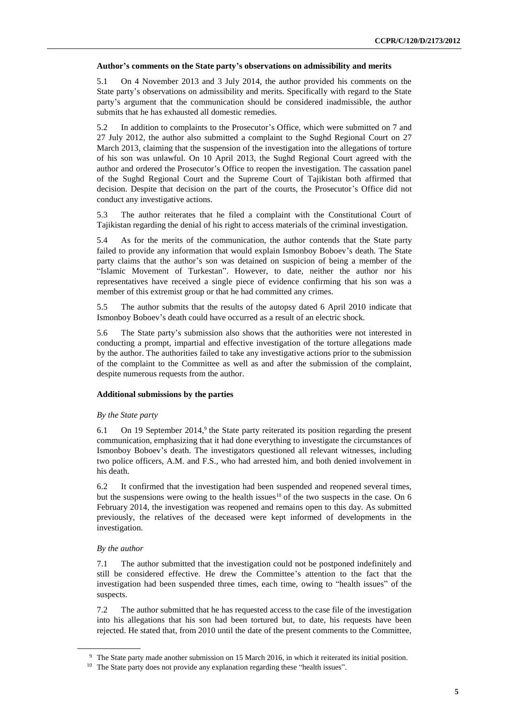#### **Author's comments on the State party's observations on admissibility and merits**

5.1 On 4 November 2013 and 3 July 2014, the author provided his comments on the State party's observations on admissibility and merits. Specifically with regard to the State party's argument that the communication should be considered inadmissible, the author submits that he has exhausted all domestic remedies.

5.2 In addition to complaints to the Prosecutor's Office, which were submitted on 7 and 27 July 2012, the author also submitted a complaint to the Sughd Regional Court on 27 March 2013, claiming that the suspension of the investigation into the allegations of torture of his son was unlawful. On 10 April 2013, the Sughd Regional Court agreed with the author and ordered the Prosecutor's Office to reopen the investigation. The cassation panel of the Sughd Regional Court and the Supreme Court of Tajikistan both affirmed that decision. Despite that decision on the part of the courts, the Prosecutor's Office did not conduct any investigative actions.

5.3 The author reiterates that he filed a complaint with the Constitutional Court of Tajikistan regarding the denial of his right to access materials of the criminal investigation.

5.4 As for the merits of the communication, the author contends that the State party failed to provide any information that would explain Ismonboy Boboev's death. The State party claims that the author's son was detained on suspicion of being a member of the "Islamic Movement of Turkestan". However, to date, neither the author nor his representatives have received a single piece of evidence confirming that his son was a member of this extremist group or that he had committed any crimes.

5.5 The author submits that the results of the autopsy dated 6 April 2010 indicate that Ismonboy Boboev's death could have occurred as a result of an electric shock.

5.6 The State party's submission also shows that the authorities were not interested in conducting a prompt, impartial and effective investigation of the torture allegations made by the author. The authorities failed to take any investigative actions prior to the submission of the complaint to the Committee as well as and after the submission of the complaint, despite numerous requests from the author.

#### **Additional submissions by the parties**

### *By the State party*

 $6.1$  On 19 September 2014,<sup>9</sup> the State party reiterated its position regarding the present communication, emphasizing that it had done everything to investigate the circumstances of Ismonboy Boboev's death. The investigators questioned all relevant witnesses, including two police officers, A.M. and F.S., who had arrested him, and both denied involvement in his death.

6.2 It confirmed that the investigation had been suspended and reopened several times, but the suspensions were owing to the health issues<sup>10</sup> of the two suspects in the case. On 6 February 2014, the investigation was reopened and remains open to this day. As submitted previously, the relatives of the deceased were kept informed of developments in the investigation.

### *By the author*

7.1 The author submitted that the investigation could not be postponed indefinitely and still be considered effective. He drew the Committee's attention to the fact that the investigation had been suspended three times, each time, owing to "health issues" of the suspects.

7.2 The author submitted that he has requested access to the case file of the investigation into his allegations that his son had been tortured but, to date, his requests have been rejected. He stated that, from 2010 until the date of the present comments to the Committee,

<sup>9</sup> The State party made another submission on 15 March 2016, in which it reiterated its initial position.

<sup>&</sup>lt;sup>10</sup> The State party does not provide any explanation regarding these "health issues".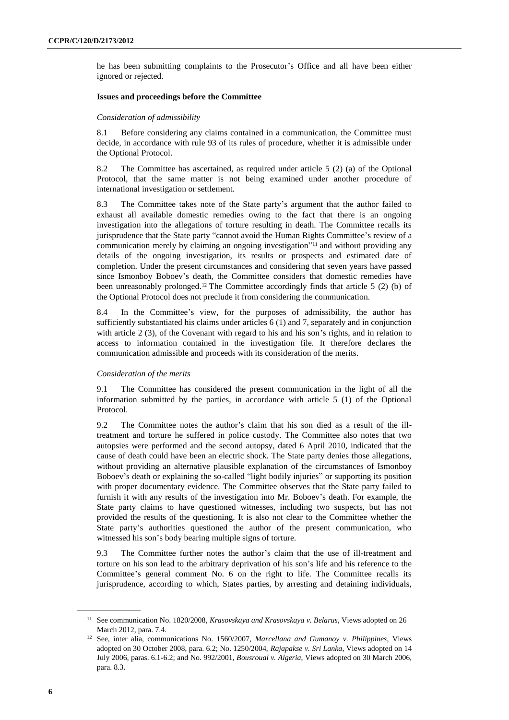he has been submitting complaints to the Prosecutor's Office and all have been either ignored or rejected.

#### **Issues and proceedings before the Committee**

#### *Consideration of admissibility*

8.1 Before considering any claims contained in a communication, the Committee must decide, in accordance with rule 93 of its rules of procedure, whether it is admissible under the Optional Protocol.

8.2 The Committee has ascertained, as required under article 5 (2) (a) of the Optional Protocol, that the same matter is not being examined under another procedure of international investigation or settlement.

8.3 The Committee takes note of the State party's argument that the author failed to exhaust all available domestic remedies owing to the fact that there is an ongoing investigation into the allegations of torture resulting in death. The Committee recalls its jurisprudence that the State party "cannot avoid the Human Rights Committee's review of a communication merely by claiming an ongoing investigation" <sup>11</sup> and without providing any details of the ongoing investigation, its results or prospects and estimated date of completion. Under the present circumstances and considering that seven years have passed since Ismonboy Boboev's death, the Committee considers that domestic remedies have been unreasonably prolonged.<sup>12</sup> The Committee accordingly finds that article 5 (2) (b) of the Optional Protocol does not preclude it from considering the communication.

8.4 In the Committee's view, for the purposes of admissibility, the author has sufficiently substantiated his claims under articles 6 (1) and 7, separately and in conjunction with article 2 (3), of the Covenant with regard to his and his son's rights, and in relation to access to information contained in the investigation file. It therefore declares the communication admissible and proceeds with its consideration of the merits.

#### *Consideration of the merits*

9.1 The Committee has considered the present communication in the light of all the information submitted by the parties, in accordance with article 5 (1) of the Optional Protocol.

9.2 The Committee notes the author's claim that his son died as a result of the illtreatment and torture he suffered in police custody. The Committee also notes that two autopsies were performed and the second autopsy, dated 6 April 2010, indicated that the cause of death could have been an electric shock. The State party denies those allegations, without providing an alternative plausible explanation of the circumstances of Ismonboy Boboev's death or explaining the so-called "light bodily injuries" or supporting its position with proper documentary evidence. The Committee observes that the State party failed to furnish it with any results of the investigation into Mr. Boboev's death. For example, the State party claims to have questioned witnesses, including two suspects, but has not provided the results of the questioning. It is also not clear to the Committee whether the State party's authorities questioned the author of the present communication, who witnessed his son's body bearing multiple signs of torture.

9.3 The Committee further notes the author's claim that the use of ill-treatment and torture on his son lead to the arbitrary deprivation of his son's life and his reference to the Committee's general comment No. 6 on the right to life. The Committee recalls its jurisprudence, according to which, States parties, by arresting and detaining individuals,

<sup>11</sup> See communication No. 1820/2008, *Krasovskaya and Krasovskaya v. Belarus,* Views adopted on 26 March 2012, para. 7.4.

<sup>12</sup> See, inter alia, communications No. 1560/2007, *Marcellana and Gumanoy v. Philippines*, Views adopted on 30 October 2008, para. 6.2; No. 1250/2004, *Rajapakse v. Sri Lanka*, Views adopted on 14 July 2006, paras. 6.1-6.2; and No. 992/2001, *Bousroual v. Algeria*, Views adopted on 30 March 2006, para. 8.3.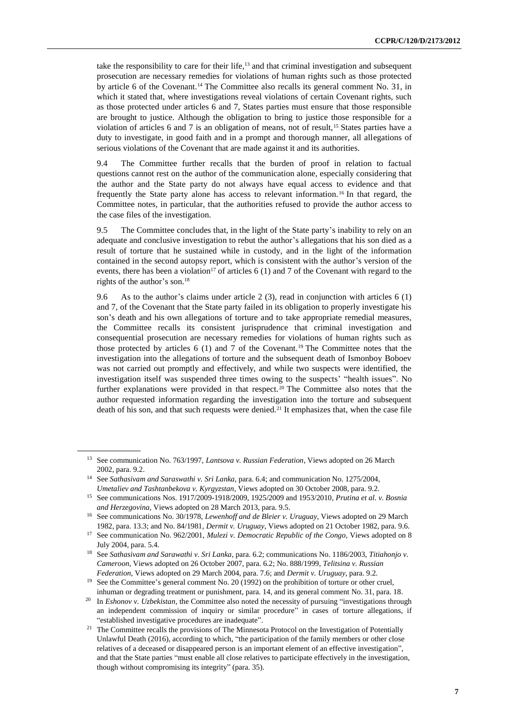take the responsibility to care for their life,<sup>13</sup> and that criminal investigation and subsequent prosecution are necessary remedies for violations of human rights such as those protected by article 6 of the Covenant.<sup>14</sup> The Committee also recalls its general comment No. 31, in which it stated that, where investigations reveal violations of certain Covenant rights, such as those protected under articles 6 and 7, States parties must ensure that those responsible are brought to justice. Although the obligation to bring to justice those responsible for a violation of articles 6 and 7 is an obligation of means, not of result,<sup>15</sup> States parties have a duty to investigate, in good faith and in a prompt and thorough manner, all allegations of serious violations of the Covenant that are made against it and its authorities.

9.4 The Committee further recalls that the burden of proof in relation to factual questions cannot rest on the author of the communication alone, especially considering that the author and the State party do not always have equal access to evidence and that frequently the State party alone has access to relevant information.<sup>16</sup> In that regard, the Committee notes, in particular, that the authorities refused to provide the author access to the case files of the investigation.

9.5 The Committee concludes that, in the light of the State party's inability to rely on an adequate and conclusive investigation to rebut the author's allegations that his son died as a result of torture that he sustained while in custody, and in the light of the information contained in the second autopsy report, which is consistent with the author's version of the events, there has been a violation<sup>17</sup> of articles 6 (1) and 7 of the Covenant with regard to the rights of the author's son.<sup>18</sup>

9.6 As to the author's claims under article 2 (3), read in conjunction with articles 6 (1) and 7, of the Covenant that the State party failed in its obligation to properly investigate his son's death and his own allegations of torture and to take appropriate remedial measures, the Committee recalls its consistent jurisprudence that criminal investigation and consequential prosecution are necessary remedies for violations of human rights such as those protected by articles 6 (1) and 7 of the Covenant.<sup>19</sup> The Committee notes that the investigation into the allegations of torture and the subsequent death of Ismonboy Boboev was not carried out promptly and effectively, and while two suspects were identified, the investigation itself was suspended three times owing to the suspects' "health issues". No further explanations were provided in that respect.<sup>20</sup> The Committee also notes that the author requested information regarding the investigation into the torture and subsequent death of his son, and that such requests were denied.<sup>21</sup> It emphasizes that, when the case file

<sup>13</sup> See communication No. 763/1997, *Lantsova v. Russian Federation*, Views adopted on 26 March 2002, para. 9.2.

<sup>14</sup> See *Sathasivam and Saraswathi v. Sri Lanka*, para. 6.4; and communication No. 1275/2004, *Umetaliev and Tashtanbekova v. Kyrgyzstan*, Views adopted on 30 October 2008, para. 9.2.

<sup>15</sup> See communications Nos. 1917/2009-1918/2009, 1925/2009 and 1953/2010, *Prutina et al. v. Bosnia and Herzegovina,* Views adopted on 28 March 2013, para. 9.5.

<sup>16</sup> See communications No. 30/1978, *Lewenhoff and de Bleier v. Uruguay*, Views adopted on 29 March 1982, para. 13.3; and No. 84/1981, *Dermit v. Uruguay*, Views adopted on 21 October 1982, para. 9.6.

<sup>17</sup> See communication No. 962/2001, *Mulezi v. Democratic Republic of the Congo*, Views adopted on 8 July 2004, para. 5.4.

<sup>18</sup> See *Sathasivam and Sarawathi v. Sri Lanka*, para. 6.2; communications No. 1186/2003, *Titiahonjo v. Cameroon*, Views adopted on 26 October 2007, para. 6.2; No. 888/1999, *Telitsina v. Russian Federation*, Views adopted on 29 March 2004, para. 7.6; and *Dermit v. Uruguay*, para. 9.2.

<sup>&</sup>lt;sup>19</sup> See the Committee's general comment No. 20 (1992) on the prohibition of torture or other cruel, inhuman or degrading treatment or punishment, para. 14, and its general comment No. 31, para. 18.

<sup>&</sup>lt;sup>20</sup> In *Eshonov v. Uzbekistan*, the Committee also noted the necessity of pursuing "investigations through an independent commission of inquiry or similar procedure" in cases of torture allegations, if "established investigative procedures are inadequate".

<sup>&</sup>lt;sup>21</sup> The Committee recalls the provisions of The Minnesota Protocol on the Investigation of Potentially Unlawful Death (2016), according to which, "the participation of the family members or other close relatives of a deceased or disappeared person is an important element of an effective investigation", and that the State parties "must enable all close relatives to participate effectively in the investigation, though without compromising its integrity" (para. 35).